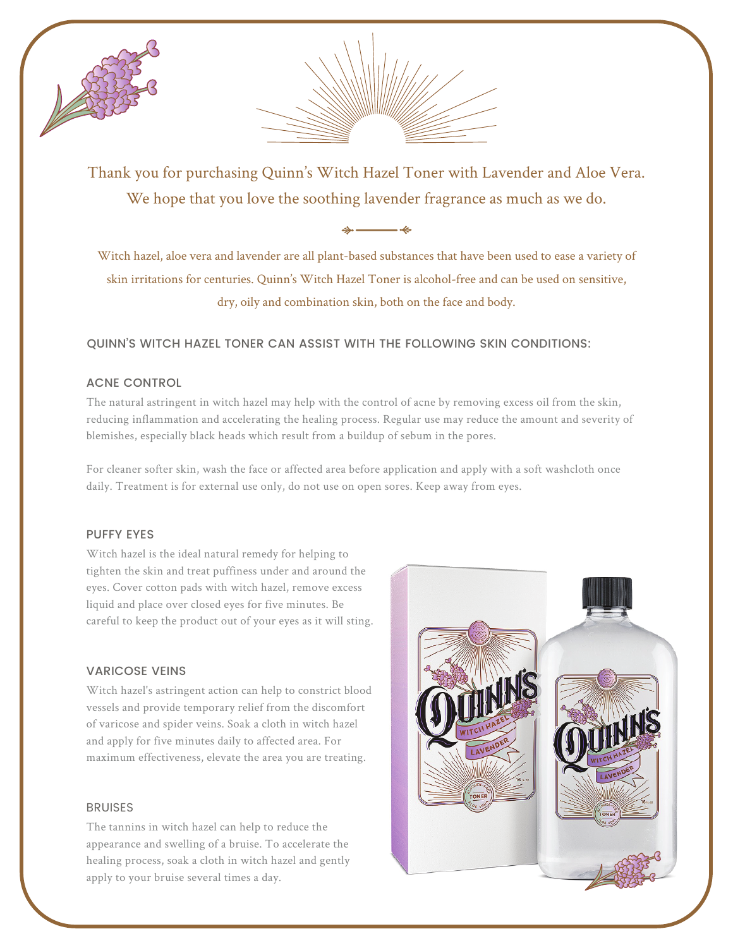



Thank you for purchasing Quinn's Witch Hazel Toner with Lavender and Aloe Vera. We hope that you love the soothing lavender fragrance as much as we do.

 $\overline{\phantom{a}}$ 

Witch hazel, aloe vera and lavender are all plant-based substances that have been used to ease a variety of skin irritations for centuries. Quinn's Witch Hazel Toner is alcohol-free and can be used on sensitive, dry, oily and combination skin, both on the face and body.

# QUINN'S WITCH HAZEL TONER CAN ASSIST WITH THE FOLLOWING SKIN CONDITIONS:

## ACNE CONTROL

The natural astringent in witch hazel may help with the control of acne by removing excess oil from the skin, reducing inflammation and accelerating the healing process. Regular use may reduce the amount and severity of blemishes, especially black heads which result from a buildup of sebum in the pores.

For cleaner softer skin, wash the face or affected area before application and apply with a soft washcloth once daily. Treatment is for external use only, do not use on open sores. Keep away from eyes.

## PUFFY EYES

Witch hazel is the ideal natural remedy for helping to tighten the skin and treat puffiness under and around the eyes. Cover cotton pads with witch hazel, remove excess liquid and place over closed eyes for five minutes. Be careful to keep the product out of your eyes as it will sting.

## VARICOSE VEINS

Witch hazel's astringent action can help to constrict blood vessels and provide temporary relief from the discomfort of varicose and spider veins. Soak a cloth in witch hazel and apply for five minutes daily to affected area. For maximum effectiveness, elevate the area you are treating.

### BRUISES

The tannins in witch hazel can help to reduce the appearance and swelling of a bruise. To accelerate the healing process, soak a cloth in witch hazel and gently apply to your bruise several times a day.